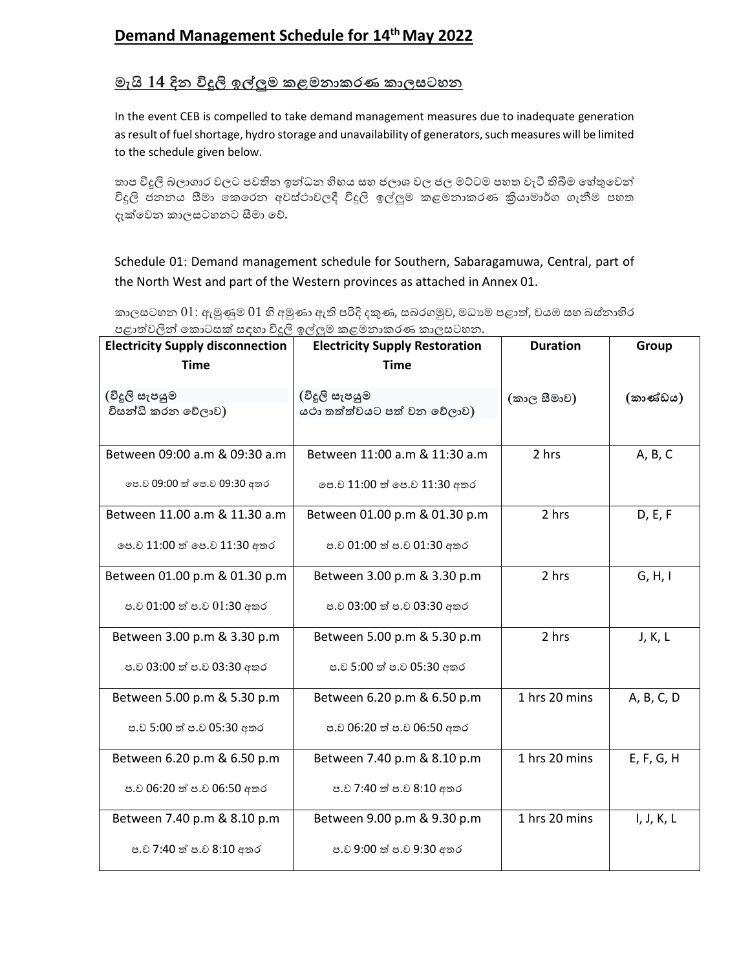## **Demand Management Schedule for 14th May 2022**

## <u>මැයි 14 දින විදුලි ඉල්ලුම කළමනාකරණ කාලසටහන</u>

In the event CEB is compelled to take demand management measures due to inadequate generation as result of fuel shortage, hydro storage and unavailability of generators, such measures will be limited to the schedule given below.

තාප විදුලි බලාගාර වලට පවතින ඉන්ධන හිහය සහ ජලාශ වල ජල මට්ටම පහත වැටී තිබීම හේතුවෙන් විදුලි ජනනය සීමා කෙරෙන අවස්ථාවලදී විදුලි ඉල්ලුම කළමනාකරණ කියාමාර්ග ගැනීම පහත දැක්වෙන කාලසටහනට සීමා වේ.

## Schedule 01: Demand management schedule for Southern, Sabaragamuwa, Central, part of the North West and part of the Western provinces as attached in Annex 01.

කාලසටහන  $01$ : ඇමුණුම  $01$  හි අමුණා ඇති පරිදි දකුණ, සබරගමුව, මධාගම පළාත්, වයඹ සහ බස්නාහිර පළාත්වලින් කොටසක් සඳහා විදුලි ඉල්ලුම කළමනාකරණ කාලසටහන.

| <b>Electricity Supply disconnection</b><br><b>Time</b>        | <b>Electricity Supply Restoration</b><br><b>Time</b>          | <b>Duration</b> | Group      |
|---------------------------------------------------------------|---------------------------------------------------------------|-----------------|------------|
| (විදූලි සැපයුම<br>විසන්ධි කරන වේලාව)                          | (විදූලි සැපයුම<br>යථා තත්ත්වයට පත් වන වේලාව)                  | (කාල සීමාව)     | (කාණ්ඩය)   |
| Between 09:00 a.m & 09:30 a.m<br>පෙ.ව 09:00 ත් පෙ.ව 09:30 අතර | Between 11:00 a.m & 11:30 a.m<br>පෙ.ව 11:00 ත් පෙ.ව 11:30 අතර | 2 hrs           | A, B, C    |
| Between 11.00 a.m & 11.30 a.m<br>පෙ.ව 11:00 ත් පෙ.ව 11:30 අතර | Between 01.00 p.m & 01.30 p.m<br>ප.ව 01:00 ත් ප.ව 01:30 අතර   | 2 hrs           | D, E, F    |
| Between 01.00 p.m & 01.30 p.m<br>ප.ව 01:00 ත් ප.ව 01:30 අතර   | Between 3.00 p.m & 3.30 p.m<br>ප.ව 03:00 ත් ප.ව 03:30 අතර     | 2 hrs           | G, H, I    |
| Between 3.00 p.m & 3.30 p.m<br>ප.ව 03:00 ත් ප.ව 03:30 අතර     | Between 5.00 p.m & 5.30 p.m<br>ප.ව 5:00 ත් ප.ව 05:30 අතර      | 2 hrs           | J, K, L    |
| Between 5.00 p.m & 5.30 p.m<br>ප.ව 5:00 ත් ප.ව 05:30 අතර      | Between 6.20 p.m & 6.50 p.m<br>ප.ව 06:20 ත් ප.ව 06:50 අතර     | 1 hrs 20 mins   | A, B, C, D |
| Between 6.20 p.m & 6.50 p.m<br>ප.ව 06:20 ත් ප.ව 06:50 අතර     | Between 7.40 p.m & 8.10 p.m<br>ප.ව 7:40 ත් ප.ව 8:10 අතර       | 1 hrs 20 mins   | E, F, G, H |
| Between 7.40 p.m & 8.10 p.m<br>ප.ව 7:40 ත් ප.ව 8:10 අතර       | Between 9.00 p.m & 9.30 p.m<br>ප.ව 9:00 ත් ප.ව 9:30 අතර       | 1 hrs 20 mins   | I, J, K, L |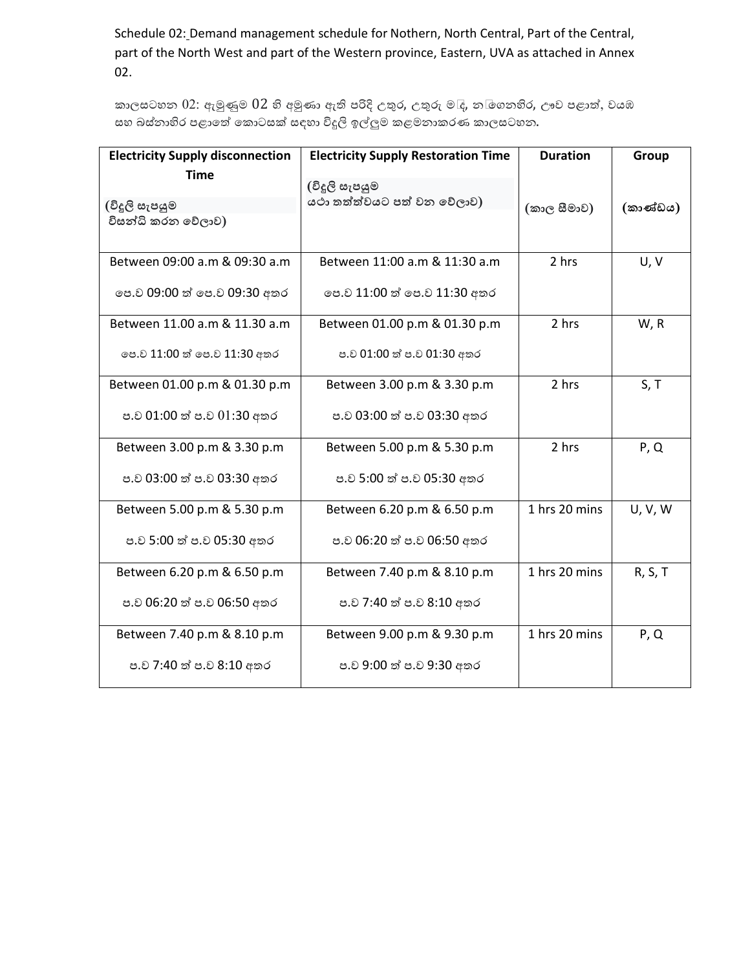Schedule 02: Demand management schedule for Nothern, North Central, Part of the Central, part of the North West and part of the Western province, Eastern, UVA as attached in Annex 02.

කාලසටහන  $02$ : ඇමුණුම  $02$  හි අමුණා ඇති පරිදි උතුර, උතුරු ම $\bar{c}$ , න $\bar{c}$ ගනහිර, ඌව පළාත්, වයඹ සහ බස්නාහිර පළාතේ කොටසක් සඳහා විදුලි ඉල්ලුම කළමනාකරණ කාලසටහන.

| <b>Electricity Supply disconnection</b> | <b>Electricity Supply Restoration Time</b> | <b>Duration</b> | Group    |
|-----------------------------------------|--------------------------------------------|-----------------|----------|
| <b>Time</b>                             | (විදූලි සැපයුම                             |                 |          |
| (විදූලි සැපයුම                          | යථා තත්ත්වයට පත් වන වේලාව)                 | (කාල සීමාව)     | (කාණ්ඩය) |
| විසන්ධි කරන වේලාව)                      |                                            |                 |          |
| Between 09:00 a.m & 09:30 a.m           | Between 11:00 a.m & 11:30 a.m              | 2 hrs           | U, V     |
| පෙ.ව 09:00 ත් පෙ.ව 09:30 අතර            | පෙ.ව 11:00 ත් පෙ.ව 11:30 අතර               |                 |          |
| Between 11.00 a.m & 11.30 a.m           | Between 01.00 p.m & 01.30 p.m              | 2 hrs           | W, R     |
| පෙ.ව 11:00 ත් පෙ.ව 11:30 අතර            | ප.ව 01:00 ත් ප.ව 01:30 අතර                 |                 |          |
| Between 01.00 p.m & 01.30 p.m           | Between 3.00 p.m & 3.30 p.m                | 2 hrs           | S, T     |
| ප.ව 01:00 ත් ප.ව 01:30 අතර              | ප.ව 03:00 ත් ප.ව 03:30 අතර                 |                 |          |
| Between 3.00 p.m & 3.30 p.m             | Between 5.00 p.m & 5.30 p.m                | 2 hrs           | P, Q     |
| ප.ව 03:00 ත් ප.ව 03:30 අතර              | ප.ව 5:00 ත් ප.ව 05:30 අතර                  |                 |          |
| Between 5.00 p.m & 5.30 p.m             | Between 6.20 p.m & 6.50 p.m                | 1 hrs 20 mins   | U, V, W  |
| ප.ව 5:00 ත් ප.ව 05:30 අතර               | ප.ව 06:20 ත් ප.ව 06:50 අතර                 |                 |          |
| Between 6.20 p.m & 6.50 p.m             | Between 7.40 p.m & 8.10 p.m                | 1 hrs 20 mins   | R, S, T  |
| ප.ව 06:20 ත් ප.ව 06:50 අතර              | ප.ව 7:40 ත් ප.ව 8:10 අතර                   |                 |          |
| Between 7.40 p.m & 8.10 p.m             | Between 9.00 p.m & 9.30 p.m                | 1 hrs 20 mins   | P, Q     |
| ප.ව 7:40 ත් ප.ව 8:10 අතර                | ප.ව 9:00 ත් ප.ව 9:30 අතර                   |                 |          |